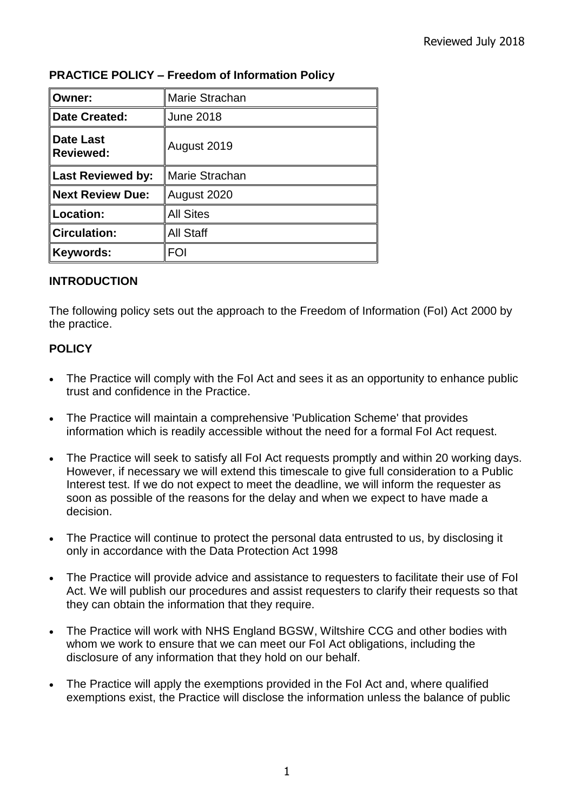| Owner:                               | Marie Strachan   |
|--------------------------------------|------------------|
| <b>Date Created:</b>                 | <b>June 2018</b> |
| <b>Date Last</b><br><b>Reviewed:</b> | August 2019      |
| ∥Last Reviewed by:                   | Marie Strachan   |
| <b>Next Review Due:</b>              | August 2020      |
| Location:                            | <b>All Sites</b> |
| Circulation:                         | <b>All Staff</b> |
| Keywords:                            | FOI              |

## **PRACTICE POLICY – Freedom of Information Policy**

## **INTRODUCTION**

The following policy sets out the approach to the Freedom of Information (FoI) Act 2000 by the practice.

## **POLICY**

- The Practice will comply with the FoI Act and sees it as an opportunity to enhance public trust and confidence in the Practice.
- The Practice will maintain a comprehensive 'Publication Scheme' that provides information which is readily accessible without the need for a formal FoI Act request.
- The Practice will seek to satisfy all FoI Act requests promptly and within 20 working days. However, if necessary we will extend this timescale to give full consideration to a Public Interest test. If we do not expect to meet the deadline, we will inform the requester as soon as possible of the reasons for the delay and when we expect to have made a decision.
- The Practice will continue to protect the personal data entrusted to us, by disclosing it only in accordance with the Data Protection Act 1998
- The Practice will provide advice and assistance to requesters to facilitate their use of FoI Act. We will publish our procedures and assist requesters to clarify their requests so that they can obtain the information that they require.
- The Practice will work with NHS England BGSW, Wiltshire CCG and other bodies with whom we work to ensure that we can meet our FoI Act obligations, including the disclosure of any information that they hold on our behalf.
- The Practice will apply the exemptions provided in the FoI Act and, where qualified exemptions exist, the Practice will disclose the information unless the balance of public